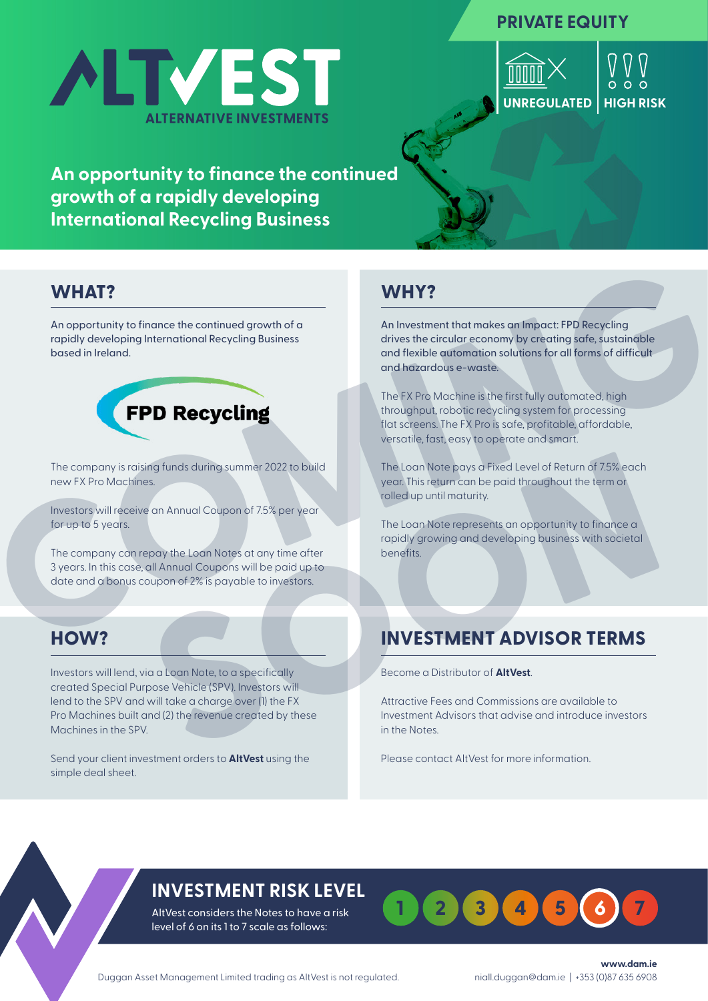### **PRIVATE EQUITY**



**UNREGULATED HIGH RISK**  $\bigvee_{0000}$ 

# **An opportunity to finance the continued growth of a rapidly developing International Recycling Business**

### **WHAT?**

An opportunity to finance the continued growth of a rapidly developing International Recycling Business based in Ireland.



The company is raising funds during summer 2022 to build new FX Pro Machines.

Investors will receive an Annual Coupon of 7.5% per year for up to 5 years.

The company can repay the Loan Notes at any time after 3 years. In this case, all Annual Coupons will be paid up to date and a bonus coupon of 2% is payable to investors.

Investors will lend, via a Loan Note, to a specifically created Special Purpose Vehicle (SPV). Investors will lend to the SPV and will take a charge over (1) the FX Pro Machines built and (2) the revenue created by these Machines in the SPV. **EXAMPLE States of the continued growth of a**<br>
tap opportunity to linearce the continued growth of a<br>
topoldy developing thermational Recycling Business<br>
to company interaction and the society of the company of the company

Send your client investment orders to **AltVest** using the simple deal sheet.

## **WHY?**

An Investment that makes an Impact: FPD Recycling drives the circular economy by creating safe, sustainable and flexible automation solutions for all forms of difficult and hazardous e-waste.

The FX Pro Machine is the first fully automated, high throughput, robotic recycling system for processing flat screens. The FX Pro is safe, profitable, affordable, versatile, fast, easy to operate and smart.

The Loan Note pays a Fixed Level of Return of 7.5% each year. This return can be paid throughout the term or rolled up until maturity.

The Loan Note represents an opportunity to finance a rapidly growing and developing business with societal

# **INVESTMENT ADVISOR TERMS**

Become a Distributor of **AltVest**.

Attractive Fees and Commissions are available to Investment Advisors that advise and introduce investors in the Notes.

Please contact AltVest for more information.

# **INVESTMENT RISK LEVEL**

AltVest considers the Notes to have a risk level of 6 on its 1 to 7 scale as follows: